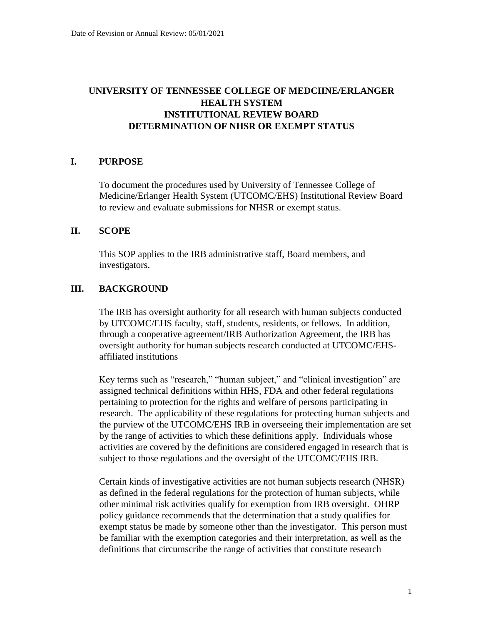# **UNIVERSITY OF TENNESSEE COLLEGE OF MEDCIINE/ERLANGER HEALTH SYSTEM INSTITUTIONAL REVIEW BOARD DETERMINATION OF NHSR OR EXEMPT STATUS**

### **I. PURPOSE**

To document the procedures used by University of Tennessee College of Medicine/Erlanger Health System (UTCOMC/EHS) Institutional Review Board to review and evaluate submissions for NHSR or exempt status.

### **II. SCOPE**

This SOP applies to the IRB administrative staff, Board members, and investigators.

## **III. BACKGROUND**

The IRB has oversight authority for all research with human subjects conducted by UTCOMC/EHS faculty, staff, students, residents, or fellows. In addition, through a cooperative agreement/IRB Authorization Agreement, the IRB has oversight authority for human subjects research conducted at UTCOMC/EHSaffiliated institutions

Key terms such as "research," "human subject," and "clinical investigation" are assigned technical definitions within HHS, FDA and other federal regulations pertaining to protection for the rights and welfare of persons participating in research. The applicability of these regulations for protecting human subjects and the purview of the UTCOMC/EHS IRB in overseeing their implementation are set by the range of activities to which these definitions apply. Individuals whose activities are covered by the definitions are considered engaged in research that is subject to those regulations and the oversight of the UTCOMC/EHS IRB.

Certain kinds of investigative activities are not human subjects research (NHSR) as defined in the federal regulations for the protection of human subjects, while other minimal risk activities qualify for exemption from IRB oversight. OHRP policy guidance recommends that the determination that a study qualifies for exempt status be made by someone other than the investigator. This person must be familiar with the exemption categories and their interpretation, as well as the definitions that circumscribe the range of activities that constitute research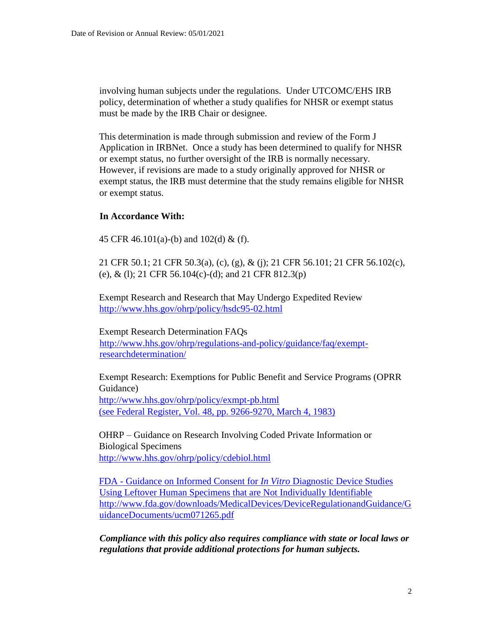involving human subjects under the regulations. Under UTCOMC/EHS IRB policy, determination of whether a study qualifies for NHSR or exempt status must be made by the IRB Chair or designee.

This determination is made through submission and review of the Form J Application in IRBNet. Once a study has been determined to qualify for NHSR or exempt status, no further oversight of the IRB is normally necessary. However, if revisions are made to a study originally approved for NHSR or exempt status, the IRB must determine that the study remains eligible for NHSR or exempt status.

### **In Accordance With:**

45 CFR 46.101(a)-(b) and 102(d) & (f).

21 CFR 50.1; 21 CFR 50.3(a), (c), (g), & (j); 21 CFR 56.101; 21 CFR 56.102(c), (e), & (l); 21 CFR 56.104(c)-(d); and 21 CFR 812.3(p)

Exempt Research and Research that May Undergo Expedited Review http://www.hhs.gov/ohrp/policy/hsdc95-02.html

Exempt Research Determination FAQs http://www.hhs.gov/ohrp/regulations-and-policy/guidance/faq/exemptresearchdetermination/

Exempt Research: Exemptions for Public Benefit and Service Programs (OPRR Guidance) http://www.hhs.gov/ohrp/policy/exmpt-pb.html (see Federal Register, Vol. 48, pp. 9266-9270, March 4, 1983)

OHRP – Guidance on Research Involving Coded Private Information or Biological Specimens http://www.hhs.gov/ohrp/policy/cdebiol.html

FDA - Guidance on Informed Consent for *In Vitro* Diagnostic Device Studies Using Leftover Human Specimens that are Not Individually Identifiable http://www.fda.gov/downloads/MedicalDevices/DeviceRegulationandGuidance/G uidanceDocuments/ucm071265.pdf

*Compliance with this policy also requires compliance with state or local laws or regulations that provide additional protections for human subjects.*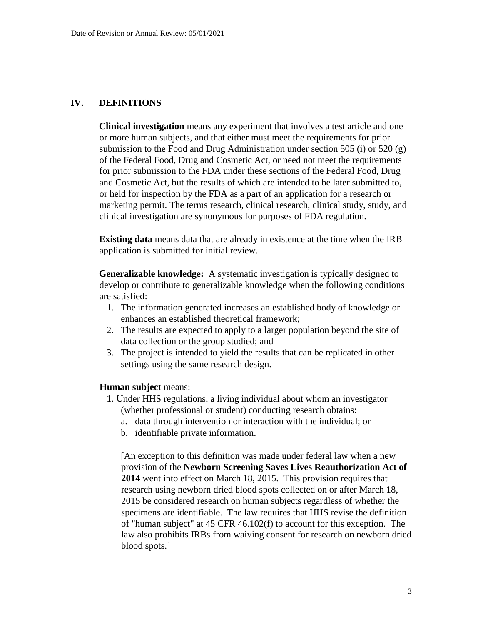## **IV. DEFINITIONS**

**Clinical investigation** means any experiment that involves a test article and one or more human subjects, and that either must meet the requirements for prior submission to the Food and Drug Administration under section 505 (i) or 520  $(g)$ of the Federal Food, Drug and Cosmetic Act, or need not meet the requirements for prior submission to the FDA under these sections of the Federal Food, Drug and Cosmetic Act, but the results of which are intended to be later submitted to, or held for inspection by the FDA as a part of an application for a research or marketing permit. The terms research, clinical research, clinical study, study, and clinical investigation are synonymous for purposes of FDA regulation.

**Existing data** means data that are already in existence at the time when the IRB application is submitted for initial review.

**Generalizable knowledge:** A systematic investigation is typically designed to develop or contribute to generalizable knowledge when the following conditions are satisfied:

- 1. The information generated increases an established body of knowledge or enhances an established theoretical framework;
- 2. The results are expected to apply to a larger population beyond the site of data collection or the group studied; and
- 3. The project is intended to yield the results that can be replicated in other settings using the same research design.

#### **Human subject** means:

- 1. Under HHS regulations, a living individual about whom an investigator (whether professional or student) conducting research obtains:
	- a. data through intervention or interaction with the individual; or
	- b. identifiable private information.

[An exception to this definition was made under federal law when a new provision of the **Newborn Screening Saves Lives Reauthorization Act of 2014** went into effect on March 18, 2015. This provision requires that research using newborn dried blood spots collected on or after March 18, 2015 be considered research on human subjects regardless of whether the specimens are identifiable. The law requires that HHS revise the definition of "human subject" at 45 CFR 46.102(f) to account for this exception. The law also prohibits IRBs from waiving consent for research on newborn dried blood spots.]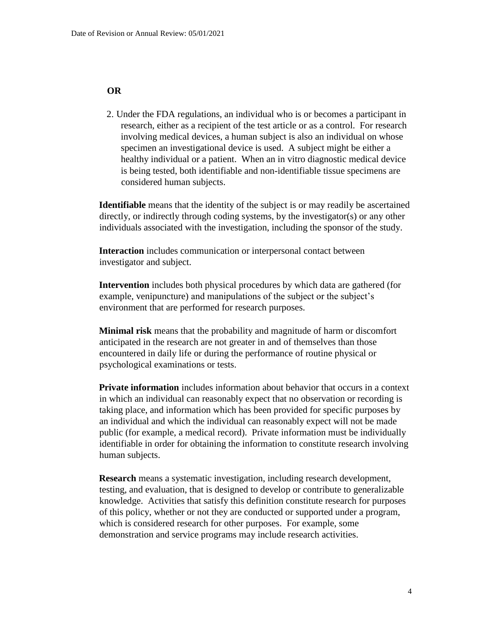# **OR**

2. Under the FDA regulations, an individual who is or becomes a participant in research, either as a recipient of the test article or as a control. For research involving medical devices, a human subject is also an individual on whose specimen an investigational device is used. A subject might be either a healthy individual or a patient. When an in vitro diagnostic medical device is being tested, both identifiable and non-identifiable tissue specimens are considered human subjects.

**Identifiable** means that the identity of the subject is or may readily be ascertained directly, or indirectly through coding systems, by the investigator(s) or any other individuals associated with the investigation, including the sponsor of the study.

**Interaction** includes communication or interpersonal contact between investigator and subject.

**Intervention** includes both physical procedures by which data are gathered (for example, venipuncture) and manipulations of the subject or the subject's environment that are performed for research purposes.

**Minimal risk** means that the probability and magnitude of harm or discomfort anticipated in the research are not greater in and of themselves than those encountered in daily life or during the performance of routine physical or psychological examinations or tests.

**Private information** includes information about behavior that occurs in a context in which an individual can reasonably expect that no observation or recording is taking place, and information which has been provided for specific purposes by an individual and which the individual can reasonably expect will not be made public (for example, a medical record). Private information must be individually identifiable in order for obtaining the information to constitute research involving human subjects.

**Research** means a systematic investigation, including research development, testing, and evaluation, that is designed to develop or contribute to generalizable knowledge. Activities that satisfy this definition constitute research for purposes of this policy, whether or not they are conducted or supported under a program, which is considered research for other purposes. For example, some demonstration and service programs may include research activities.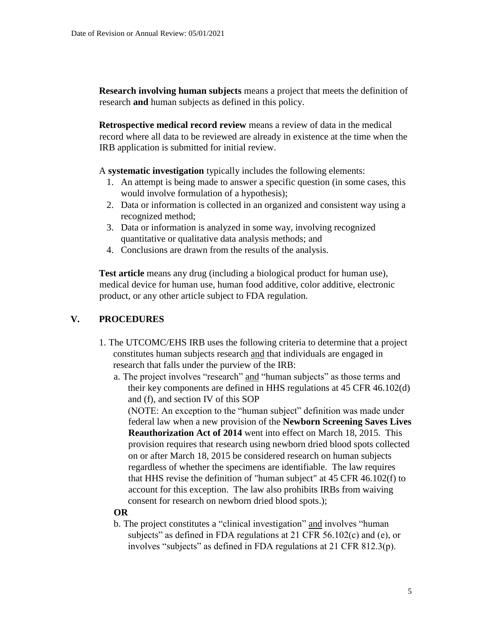**Research involving human subjects** means a project that meets the definition of research **and** human subjects as defined in this policy.

**Retrospective medical record review** means a review of data in the medical record where all data to be reviewed are already in existence at the time when the IRB application is submitted for initial review.

A **systematic investigation** typically includes the following elements:

- 1. An attempt is being made to answer a specific question (in some cases, this would involve formulation of a hypothesis);
- 2. Data or information is collected in an organized and consistent way using a recognized method;
- 3. Data or information is analyzed in some way, involving recognized quantitative or qualitative data analysis methods; and
- 4. Conclusions are drawn from the results of the analysis.

**Test article** means any drug (including a biological product for human use), medical device for human use, human food additive, color additive, electronic product, or any other article subject to FDA regulation.

# **V. PROCEDURES**

- 1. The UTCOMC/EHS IRB uses the following criteria to determine that a project constitutes human subjects research and that individuals are engaged in research that falls under the purview of the IRB:
	- a. The project involves "research" and "human subjects" as those terms and their key components are defined in HHS regulations at 45 CFR 46.102(d) and (f), and section IV of this SOP

(NOTE: An exception to the "human subject" definition was made under federal law when a new provision of the **Newborn Screening Saves Lives Reauthorization Act of 2014** went into effect on March 18, 2015. This provision requires that research using newborn dried blood spots collected on or after March 18, 2015 be considered research on human subjects regardless of whether the specimens are identifiable. The law requires that HHS revise the definition of "human subject" at 45 CFR 46.102(f) to account for this exception. The law also prohibits IRBs from waiving consent for research on newborn dried blood spots.);

# **OR**

b. The project constitutes a "clinical investigation" and involves "human subjects" as defined in FDA regulations at 21 CFR 56.102(c) and (e), or involves "subjects" as defined in FDA regulations at 21 CFR 812.3(p).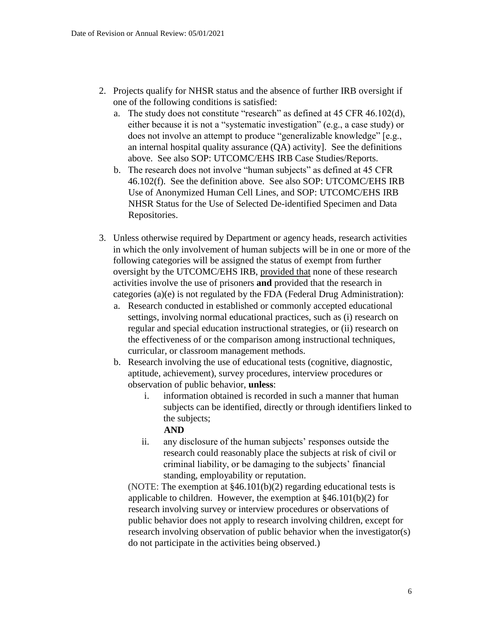- 2. Projects qualify for NHSR status and the absence of further IRB oversight if one of the following conditions is satisfied:
	- a. The study does not constitute "research" as defined at 45 CFR 46.102(d), either because it is not a "systematic investigation" (e.g., a case study) or does not involve an attempt to produce "generalizable knowledge" [e.g., an internal hospital quality assurance (QA) activity]. See the definitions above. See also SOP: UTCOMC/EHS IRB Case Studies/Reports.
	- b. The research does not involve "human subjects" as defined at 45 CFR 46.102(f). See the definition above. See also SOP: UTCOMC/EHS IRB Use of Anonymized Human Cell Lines, and SOP: UTCOMC/EHS IRB NHSR Status for the Use of Selected De-identified Specimen and Data Repositories.
- 3. Unless otherwise required by Department or agency heads, research activities in which the only involvement of human subjects will be in one or more of the following categories will be assigned the status of exempt from further oversight by the UTCOMC/EHS IRB, provided that none of these research activities involve the use of prisoners **and** provided that the research in categories (a)(e) is not regulated by the FDA (Federal Drug Administration):
	- a. Research conducted in established or commonly accepted educational settings, involving normal educational practices, such as (i) research on regular and special education instructional strategies, or (ii) research on the effectiveness of or the comparison among instructional techniques, curricular, or classroom management methods.
	- b. Research involving the use of educational tests (cognitive, diagnostic, aptitude, achievement), survey procedures, interview procedures or observation of public behavior, **unless**:
		- i. information obtained is recorded in such a manner that human subjects can be identified, directly or through identifiers linked to the subjects;

### **AND**

ii. any disclosure of the human subjects' responses outside the research could reasonably place the subjects at risk of civil or criminal liability, or be damaging to the subjects' financial standing, employability or reputation.

(NOTE: The exemption at §46.101(b)(2) regarding educational tests is applicable to children. However, the exemption at §46.101(b)(2) for research involving survey or interview procedures or observations of public behavior does not apply to research involving children, except for research involving observation of public behavior when the investigator(s) do not participate in the activities being observed.)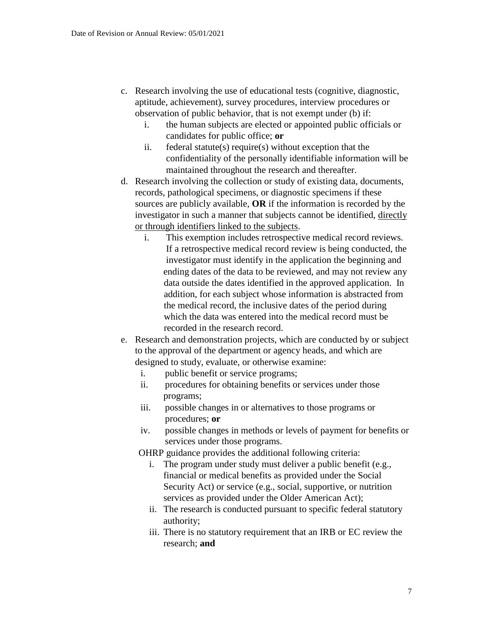- c. Research involving the use of educational tests (cognitive, diagnostic, aptitude, achievement), survey procedures, interview procedures or observation of public behavior, that is not exempt under (b) if:
	- i. the human subjects are elected or appointed public officials or candidates for public office; **or**
	- ii. federal statute(s) require(s) without exception that the confidentiality of the personally identifiable information will be maintained throughout the research and thereafter.
- d. Research involving the collection or study of existing data, documents, records, pathological specimens, or diagnostic specimens if these sources are publicly available, **OR** if the information is recorded by the investigator in such a manner that subjects cannot be identified, directly or through identifiers linked to the subjects.
	- i. This exemption includes retrospective medical record reviews. If a retrospective medical record review is being conducted, the investigator must identify in the application the beginning and ending dates of the data to be reviewed, and may not review any data outside the dates identified in the approved application. In addition, for each subject whose information is abstracted from the medical record, the inclusive dates of the period during which the data was entered into the medical record must be recorded in the research record.
- e. Research and demonstration projects, which are conducted by or subject to the approval of the department or agency heads, and which are designed to study, evaluate, or otherwise examine:
	- i. public benefit or service programs;
	- ii. procedures for obtaining benefits or services under those programs;
	- iii. possible changes in or alternatives to those programs or procedures; **or**
	- iv. possible changes in methods or levels of payment for benefits or services under those programs.

OHRP guidance provides the additional following criteria:

- i. The program under study must deliver a public benefit (e.g., financial or medical benefits as provided under the Social Security Act) or service (e.g., social, supportive, or nutrition services as provided under the Older American Act);
- ii. The research is conducted pursuant to specific federal statutory authority;
- iii. There is no statutory requirement that an IRB or EC review the research; **and**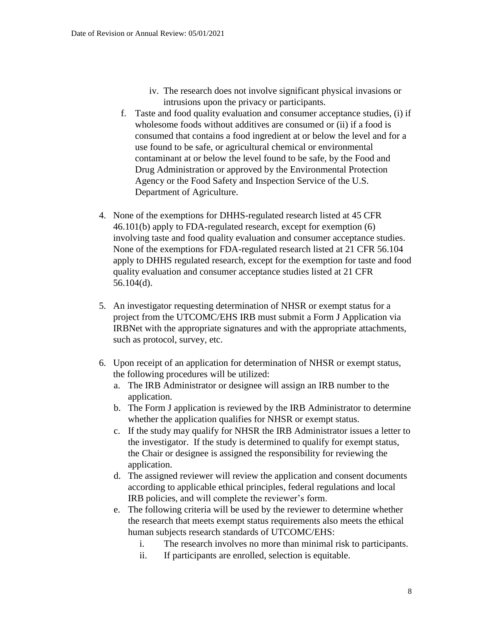- iv. The research does not involve significant physical invasions or intrusions upon the privacy or participants.
- f. Taste and food quality evaluation and consumer acceptance studies, (i) if wholesome foods without additives are consumed or (ii) if a food is consumed that contains a food ingredient at or below the level and for a use found to be safe, or agricultural chemical or environmental contaminant at or below the level found to be safe, by the Food and Drug Administration or approved by the Environmental Protection Agency or the Food Safety and Inspection Service of the U.S. Department of Agriculture.
- 4. None of the exemptions for DHHS-regulated research listed at 45 CFR 46.101(b) apply to FDA-regulated research, except for exemption (6) involving taste and food quality evaluation and consumer acceptance studies. None of the exemptions for FDA-regulated research listed at 21 CFR 56.104 apply to DHHS regulated research, except for the exemption for taste and food quality evaluation and consumer acceptance studies listed at 21 CFR 56.104(d).
- 5. An investigator requesting determination of NHSR or exempt status for a project from the UTCOMC/EHS IRB must submit a Form J Application via IRBNet with the appropriate signatures and with the appropriate attachments, such as protocol, survey, etc.
- 6. Upon receipt of an application for determination of NHSR or exempt status, the following procedures will be utilized:
	- a. The IRB Administrator or designee will assign an IRB number to the application.
	- b. The Form J application is reviewed by the IRB Administrator to determine whether the application qualifies for NHSR or exempt status.
	- c. If the study may qualify for NHSR the IRB Administrator issues a letter to the investigator. If the study is determined to qualify for exempt status, the Chair or designee is assigned the responsibility for reviewing the application.
	- d. The assigned reviewer will review the application and consent documents according to applicable ethical principles, federal regulations and local IRB policies, and will complete the reviewer's form.
	- e. The following criteria will be used by the reviewer to determine whether the research that meets exempt status requirements also meets the ethical human subjects research standards of UTCOMC/EHS:
		- i. The research involves no more than minimal risk to participants.
		- ii. If participants are enrolled, selection is equitable.